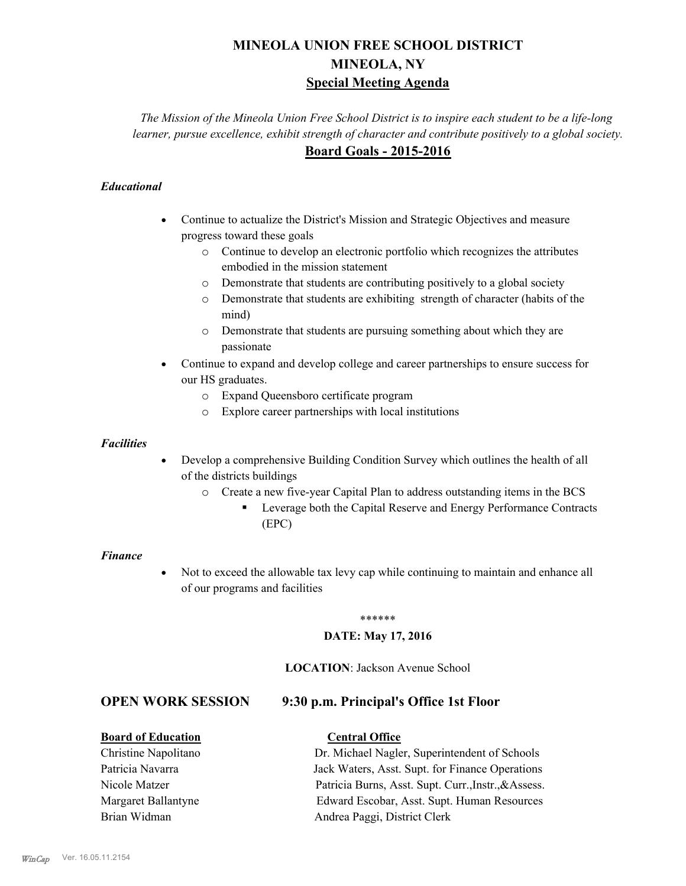# **MINEOLA UNION FREE SCHOOL DISTRICT MINEOLA, NY Special Meeting Agenda**

*The Mission of the Mineola Union Free School District is to inspire each student to be a life-long learner, pursue excellence, exhibit strength of character and contribute positively to a global society.* **Board Goals - 2015-2016**

### *Educational*

- · Continue to actualize the District's Mission and Strategic Objectives and measure progress toward these goals
	- o Continue to develop an electronic portfolio which recognizes the attributes embodied in the mission statement
	- o Demonstrate that students are contributing positively to a global society
	- o Demonstrate that students are exhibiting strength of character (habits of the mind)
	- o Demonstrate that students are pursuing something about which they are passionate
- Continue to expand and develop college and career partnerships to ensure success for our HS graduates.
	- o Expand Queensboro certificate program
	- o Explore career partnerships with local institutions

#### *Facilities*

- Develop a comprehensive Building Condition Survey which outlines the health of all of the districts buildings
	- o Create a new five-year Capital Plan to address outstanding items in the BCS
		- § Leverage both the Capital Reserve and Energy Performance Contracts (EPC)

#### *Finance*

• Not to exceed the allowable tax levy cap while continuing to maintain and enhance all of our programs and facilities

#### \*\*\*\*\*\*

#### **DATE: May 17, 2016**

#### **LOCATION**: Jackson Avenue School

# **OPEN WORK SESSION 9:30 p.m. Principal's Office 1st Floor**

| <b>Board of Education</b> | <b>Central Office</b>                                |
|---------------------------|------------------------------------------------------|
| Christine Napolitano      | Dr. Michael Nagler, Superintendent of Schools        |
| Patricia Navarra          | Jack Waters, Asst. Supt. for Finance Operations      |
| Nicole Matzer             | Patricia Burns, Asst. Supt. Curr., Instr., & Assess. |
| Margaret Ballantyne       | Edward Escobar, Asst. Supt. Human Resources          |
| Brian Widman              | Andrea Paggi, District Clerk                         |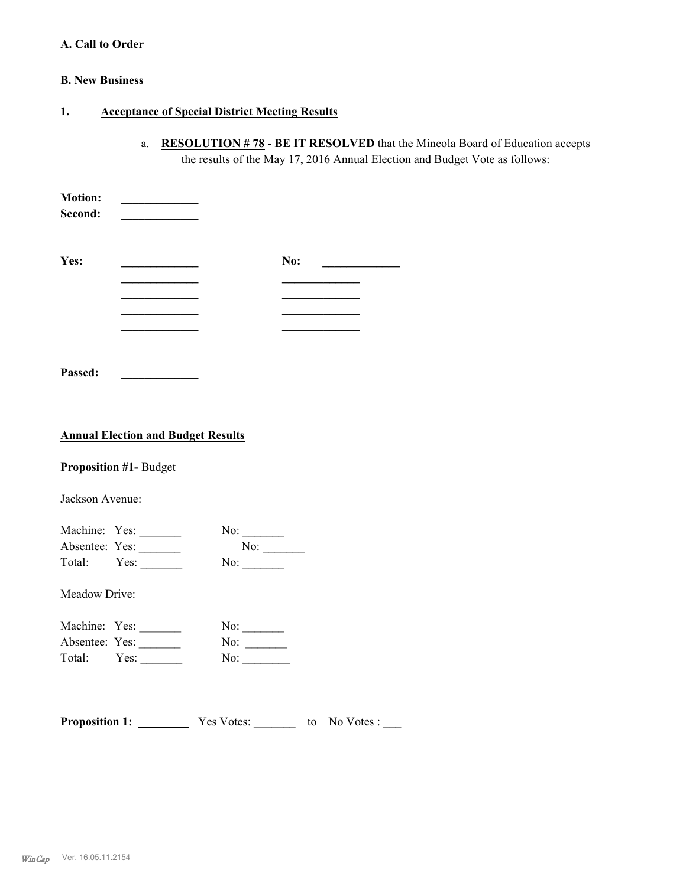# **A. Call to Order**

#### **B. New Business**

# **1. Acceptance of Special District Meeting Results**

a. **RESOLUTION # 78 - BE IT RESOLVED** that the Mineola Board of Education accepts the results of the May 17, 2016 Annual Election and Budget Vote as follows:

| <b>Motion:</b><br>Second: |     |  |
|---------------------------|-----|--|
| Yes:                      | No: |  |
|                           |     |  |
|                           |     |  |
|                           |     |  |
|                           |     |  |
|                           |     |  |

**Passed: \_\_\_\_\_\_\_\_\_\_\_\_\_**

#### **Annual Election and Budget Results**

#### **Proposition #1-** Budget

#### Jackson Avenue:

| Machine: Yes:  |      | No: |
|----------------|------|-----|
| Absentee: Yes: |      | No: |
| Total:         | Yes: | No: |

#### Meadow Drive:

| Machine: Yes:  |      | No: |
|----------------|------|-----|
| Absentee: Yes: |      | No: |
| Total:         | Yes: | No: |

| <b>Proposition 1:</b> | Yes Votes: | to No Votes : |
|-----------------------|------------|---------------|
|                       |            |               |